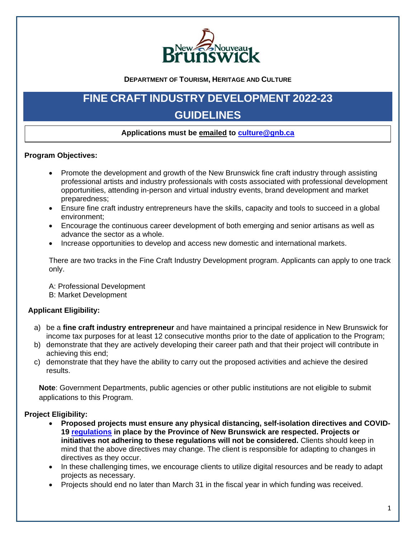

**DEPARTMENT OF TOURISM, HERITAGE AND CULTURE**

# **FINE CRAFT INDUSTRY DEVELOPMENT 2022-23 GUIDELINES**

## **Applications must be emailed to [culture@gnb.ca](mailto:culture@gnb.ca)**

#### **Program Objectives:**

- Promote the development and growth of the New Brunswick fine craft industry through assisting professional artists and industry professionals with costs associated with professional development opportunities, attending in-person and virtual industry events, brand development and market preparedness;
- Ensure fine craft industry entrepreneurs have the skills, capacity and tools to succeed in a global environment;
- Encourage the continuous career development of both emerging and senior artisans as well as advance the sector as a whole.
- Increase opportunities to develop and access new domestic and international markets.

There are two tracks in the Fine Craft Industry Development program. Applicants can apply to one track only.

A: Professional Development B: Market Development

#### **Applicant Eligibility:**

- a) be a **fine craft industry entrepreneur** and have maintained a principal residence in New Brunswick for income tax purposes for at least 12 consecutive months prior to the date of application to the Program;
- b) demonstrate that they are actively developing their career path and that their project will contribute in achieving this end;
- c) demonstrate that they have the ability to carry out the proposed activities and achieve the desired results.

**Note**: Government Departments, public agencies or other public institutions are not eligible to submit applications to this Program.

#### **Project Eligibility:**

- **Proposed projects must ensure any physical distancing, self-isolation directives and COVID-19 [regulations](https://www2.gnb.ca/content/dam/gnb/Corporate/pdf/EmergencyUrgence19.pdf) in place by the Province of New Brunswick are respected. Projects or initiatives not adhering to these regulations will not be considered.** Clients should keep in mind that the above directives may change. The client is responsible for adapting to changes in directives as they occur.
- In these challenging times, we encourage clients to utilize digital resources and be ready to adapt projects as necessary.
- Projects should end no later than March 31 in the fiscal year in which funding was received.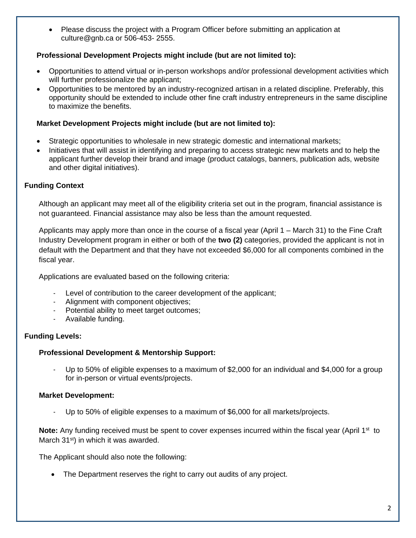• Please discuss the project with a Program Officer before submitting an application at culture@gnb.ca or 506-453- 2555.

## **Professional Development Projects might include (but are not limited to):**

- Opportunities to attend virtual or in-person workshops and/or professional development activities which will further professionalize the applicant;
- Opportunities to be mentored by an industry-recognized artisan in a related discipline. Preferably, this opportunity should be extended to include other fine craft industry entrepreneurs in the same discipline to maximize the benefits.

#### **Market Development Projects might include (but are not limited to):**

- Strategic opportunities to wholesale in new strategic domestic and international markets;
- Initiatives that will assist in identifying and preparing to access strategic new markets and to help the applicant further develop their brand and image (product catalogs, banners, publication ads, website and other digital initiatives).

## **Funding Context**

Although an applicant may meet all of the eligibility criteria set out in the program, financial assistance is not guaranteed. Financial assistance may also be less than the amount requested.

Applicants may apply more than once in the course of a fiscal year (April 1 – March 31) to the Fine Craft Industry Development program in either or both of the **two (2)** categories, provided the applicant is not in default with the Department and that they have not exceeded \$6,000 for all components combined in the fiscal year.

Applications are evaluated based on the following criteria:

- Level of contribution to the career development of the applicant;
- Alignment with component objectives;
- Potential ability to meet target outcomes;
- Available funding.

## **Funding Levels:**

## **Professional Development & Mentorship Support:**

- Up to 50% of eligible expenses to a maximum of \$2,000 for an individual and \$4,000 for a group for in-person or virtual events/projects.

## **Market Development:**

Up to 50% of eligible expenses to a maximum of \$6,000 for all markets/projects.

**Note:** Any funding received must be spent to cover expenses incurred within the fiscal year (April 1<sup>st</sup> to March 31<sup>st</sup>) in which it was awarded.

The Applicant should also note the following:

• The Department reserves the right to carry out audits of any project.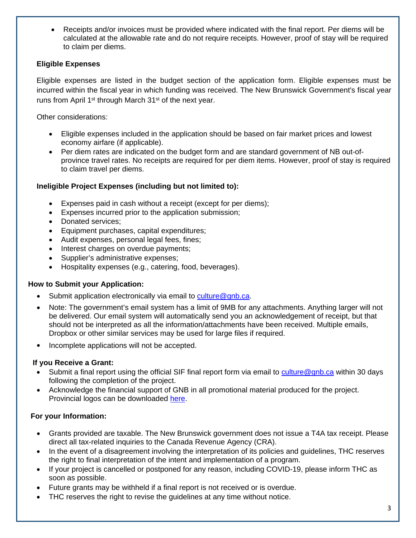• Receipts and/or invoices must be provided where indicated with the final report. Per diems will be calculated at the allowable rate and do not require receipts. However, proof of stay will be required to claim per diems.

## **Eligible Expenses**

Eligible expenses are listed in the budget section of the application form. Eligible expenses must be incurred within the fiscal year in which funding was received. The New Brunswick Government's fiscal year runs from April 1<sup>st</sup> through March 31<sup>st</sup> of the next year.

Other considerations:

- Eligible expenses included in the application should be based on fair market prices and lowest economy airfare (if applicable).
- Per diem rates are indicated on the budget form and are standard government of NB out-ofprovince travel rates. No receipts are required for per diem items. However, proof of stay is required to claim travel per diems.

## **Ineligible Project Expenses (including but not limited to):**

- Expenses paid in cash without a receipt (except for per diems);
- Expenses incurred prior to the application submission;
- Donated services;
- Equipment purchases, capital expenditures;
- Audit expenses, personal legal fees, fines;
- Interest charges on overdue payments;
- Supplier's administrative expenses;
- Hospitality expenses (e.g., catering, food, beverages).

# **How to Submit your Application:**

- Submit application electronically via email to [culture@gnb.ca.](mailto:culture@gnb.ca)
- Note: The government's email system has a limit of 9MB for any attachments. Anything larger will not be delivered. Our email system will automatically send you an acknowledgement of receipt, but that should not be interpreted as all the information/attachments have been received. Multiple emails, Dropbox or other similar services may be used for large files if required.
- Incomplete applications will not be accepted.

# **If you Receive a Grant:**

- Submit a final report using the official SIF final report form via email to [culture@gnb.ca](mailto:culture@gnb.ca) within 30 days following the completion of the project.
- Acknowledge the financial support of GNB in all promotional material produced for the project. Provincial logos can be downloaded [here.](https://www2.snb.ca/content/snb/en/services-to-government/logos.html)

# **For your Information:**

- Grants provided are taxable. The New Brunswick government does not issue a T4A tax receipt. Please direct all tax-related inquiries to the Canada Revenue Agency (CRA).
- In the event of a disagreement involving the interpretation of its policies and guidelines, THC reserves the right to final interpretation of the intent and implementation of a program.
- If your project is cancelled or postponed for any reason, including COVID-19, please inform THC as soon as possible.
- Future grants may be withheld if a final report is not received or is overdue.
- THC reserves the right to revise the guidelines at any time without notice.